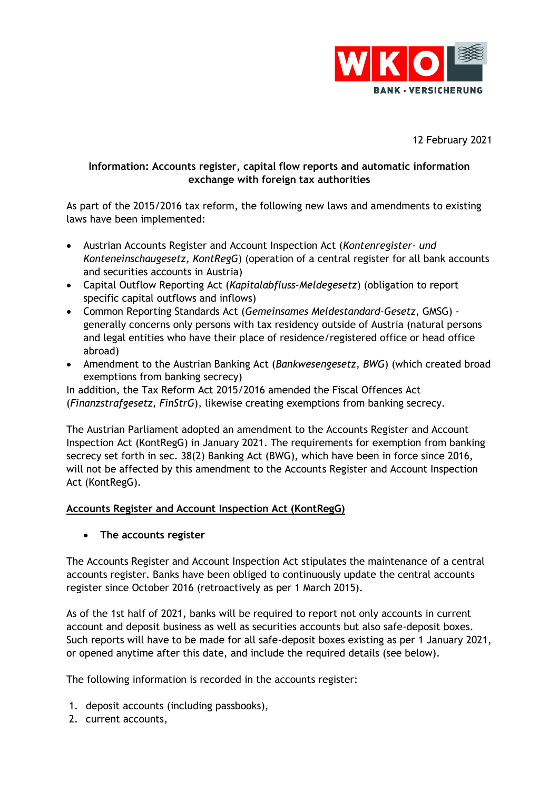

12 February 2021

## **Information: Accounts register, capital flow reports and automatic information exchange with foreign tax authorities**

As part of the 2015/2016 tax reform, the following new laws and amendments to existing laws have been implemented:

- Austrian Accounts Register and Account Inspection Act (*Kontenregister- und Konteneinschaugesetz, KontRegG*) (operation of a central register for all bank accounts and securities accounts in Austria)
- Capital Outflow Reporting Act (*Kapitalabfluss-Meldegesetz*) (obligation to report specific capital outflows and inflows)
- Common Reporting Standards Act (*Gemeinsames Meldestandard-Gesetz*, GMSG) generally concerns only persons with tax residency outside of Austria (natural persons and legal entities who have their place of residence/registered office or head office abroad)
- Amendment to the Austrian Banking Act (*Bankwesengesetz, BWG*) (which created broad exemptions from banking secrecy)

In addition, the Tax Reform Act 2015/2016 amended the Fiscal Offences Act (*Finanzstrafgesetz, FinStrG*), likewise creating exemptions from banking secrecy.

The Austrian Parliament adopted an amendment to the Accounts Register and Account Inspection Act (KontRegG) in January 2021. The requirements for exemption from banking secrecy set forth in sec. 38(2) Banking Act (BWG), which have been in force since 2016, will not be affected by this amendment to the Accounts Register and Account Inspection Act (KontRegG).

# **Accounts Register and Account Inspection Act (KontRegG)**

• **The accounts register**

The Accounts Register and Account Inspection Act stipulates the maintenance of a central accounts register. Banks have been obliged to continuously update the central accounts register since October 2016 (retroactively as per 1 March 2015).

As of the 1st half of 2021, banks will be required to report not only accounts in current account and deposit business as well as securities accounts but also safe-deposit boxes. Such reports will have to be made for all safe-deposit boxes existing as per 1 January 2021, or opened anytime after this date, and include the required details (see below).

The following information is recorded in the accounts register:

- 1. deposit accounts (including passbooks),
- 2. current accounts,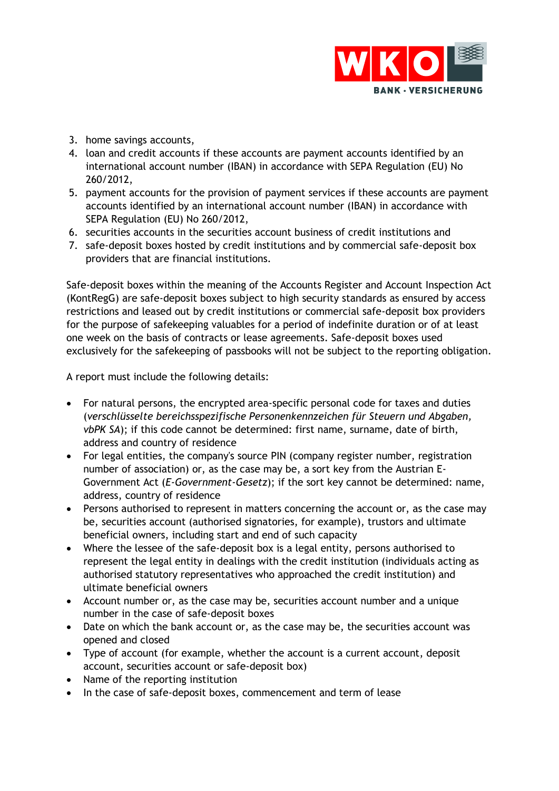

- 3. home savings accounts,
- 4. loan and credit accounts if these accounts are payment accounts identified by an international account number (IBAN) in accordance with SEPA Regulation (EU) No 260/2012,
- 5. payment accounts for the provision of payment services if these accounts are payment accounts identified by an international account number (IBAN) in accordance with SEPA Regulation (EU) No 260/2012,
- 6. securities accounts in the securities account business of credit institutions and
- 7. safe-deposit boxes hosted by credit institutions and by commercial safe-deposit box providers that are financial institutions.

Safe-deposit boxes within the meaning of the Accounts Register and Account Inspection Act (KontRegG) are safe-deposit boxes subject to high security standards as ensured by access restrictions and leased out by credit institutions or commercial safe-deposit box providers for the purpose of safekeeping valuables for a period of indefinite duration or of at least one week on the basis of contracts or lease agreements. Safe-deposit boxes used exclusively for the safekeeping of passbooks will not be subject to the reporting obligation.

A report must include the following details:

- For natural persons, the encrypted area-specific personal code for taxes and duties (*verschlüsselte bereichsspezifische Personenkennzeichen für Steuern und Abgaben, vbPK SA*); if this code cannot be determined: first name, surname, date of birth, address and country of residence
- For legal entities, the company's source PIN (company register number, registration number of association) or, as the case may be, a sort key from the Austrian E-Government Act (*E-Government-Gesetz*); if the sort key cannot be determined: name, address, country of residence
- Persons authorised to represent in matters concerning the account or, as the case may be, securities account (authorised signatories, for example), trustors and ultimate beneficial owners, including start and end of such capacity
- Where the lessee of the safe-deposit box is a legal entity, persons authorised to represent the legal entity in dealings with the credit institution (individuals acting as authorised statutory representatives who approached the credit institution) and ultimate beneficial owners
- Account number or, as the case may be, securities account number and a unique number in the case of safe-deposit boxes
- Date on which the bank account or, as the case may be, the securities account was opened and closed
- Type of account (for example, whether the account is a current account, deposit account, securities account or safe-deposit box)
- Name of the reporting institution
- In the case of safe-deposit boxes, commencement and term of lease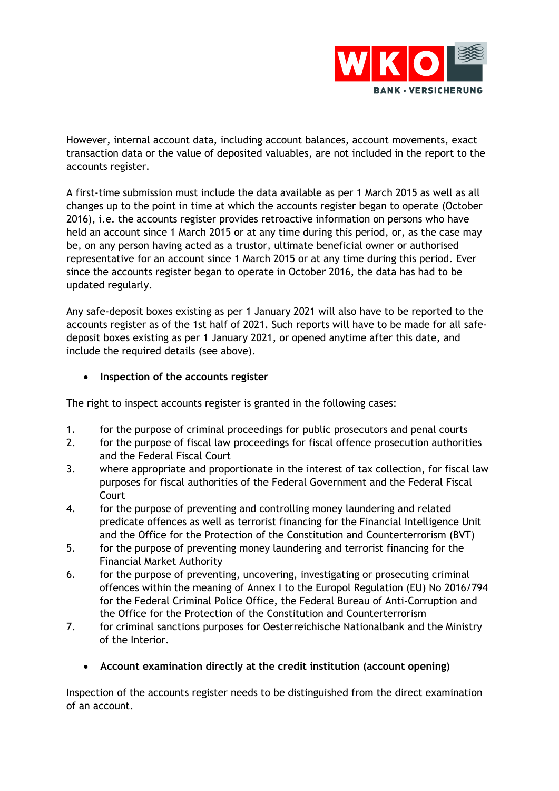

However, internal account data, including account balances, account movements, exact transaction data or the value of deposited valuables, are not included in the report to the accounts register.

A first-time submission must include the data available as per 1 March 2015 as well as all changes up to the point in time at which the accounts register began to operate (October 2016), i.e. the accounts register provides retroactive information on persons who have held an account since 1 March 2015 or at any time during this period, or, as the case may be, on any person having acted as a trustor, ultimate beneficial owner or authorised representative for an account since 1 March 2015 or at any time during this period. Ever since the accounts register began to operate in October 2016, the data has had to be updated regularly.

Any safe-deposit boxes existing as per 1 January 2021 will also have to be reported to the accounts register as of the 1st half of 2021. Such reports will have to be made for all safedeposit boxes existing as per 1 January 2021, or opened anytime after this date, and include the required details (see above).

• **Inspection of the accounts register**

The right to inspect accounts register is granted in the following cases:

- 1. for the purpose of criminal proceedings for public prosecutors and penal courts
- 2. for the purpose of fiscal law proceedings for fiscal offence prosecution authorities and the Federal Fiscal Court
- 3. where appropriate and proportionate in the interest of tax collection, for fiscal law purposes for fiscal authorities of the Federal Government and the Federal Fiscal Court
- 4. for the purpose of preventing and controlling money laundering and related predicate offences as well as terrorist financing for the Financial Intelligence Unit and the Office for the Protection of the Constitution and Counterterrorism (BVT)
- 5. for the purpose of preventing money laundering and terrorist financing for the Financial Market Authority
- 6. for the purpose of preventing, uncovering, investigating or prosecuting criminal offences within the meaning of Annex I to the Europol Regulation (EU) No 2016/794 for the Federal Criminal Police Office, the Federal Bureau of Anti-Corruption and the Office for the Protection of the Constitution and Counterterrorism
- 7. for criminal sanctions purposes for Oesterreichische Nationalbank and the Ministry of the Interior.
	- **Account examination directly at the credit institution (account opening)**

Inspection of the accounts register needs to be distinguished from the direct examination of an account.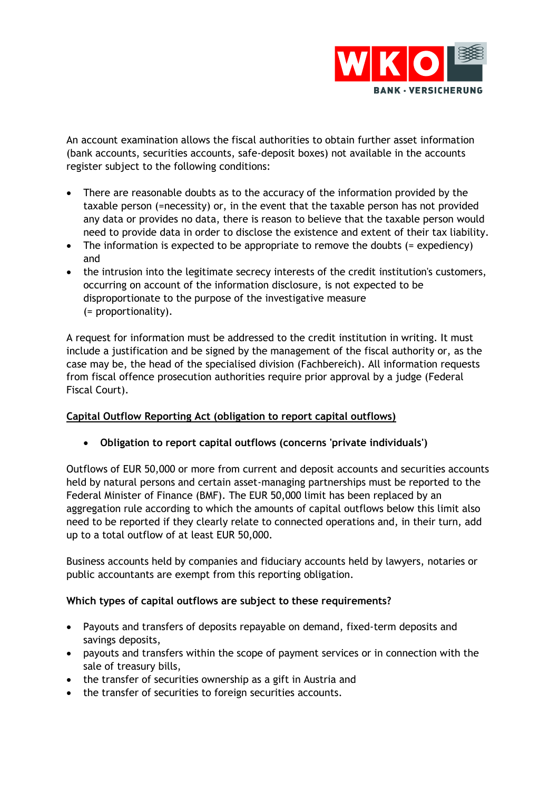

An account examination allows the fiscal authorities to obtain further asset information (bank accounts, securities accounts, safe-deposit boxes) not available in the accounts register subject to the following conditions:

- There are reasonable doubts as to the accuracy of the information provided by the taxable person (=necessity) or, in the event that the taxable person has not provided any data or provides no data, there is reason to believe that the taxable person would need to provide data in order to disclose the existence and extent of their tax liability.
- The information is expected to be appropriate to remove the doubts (= expediency) and
- the intrusion into the legitimate secrecy interests of the credit institution's customers, occurring on account of the information disclosure, is not expected to be disproportionate to the purpose of the investigative measure (= proportionality).

A request for information must be addressed to the credit institution in writing. It must include a justification and be signed by the management of the fiscal authority or, as the case may be, the head of the specialised division (Fachbereich). All information requests from fiscal offence prosecution authorities require prior approval by a judge (Federal Fiscal Court).

# **Capital Outflow Reporting Act (obligation to report capital outflows)**

• **Obligation to report capital outflows (concerns 'private individuals')**

Outflows of EUR 50,000 or more from current and deposit accounts and securities accounts held by natural persons and certain asset-managing partnerships must be reported to the Federal Minister of Finance (BMF). The EUR 50,000 limit has been replaced by an aggregation rule according to which the amounts of capital outflows below this limit also need to be reported if they clearly relate to connected operations and, in their turn, add up to a total outflow of at least EUR 50,000.

Business accounts held by companies and fiduciary accounts held by lawyers, notaries or public accountants are exempt from this reporting obligation.

### **Which types of capital outflows are subject to these requirements?**

- Payouts and transfers of deposits repayable on demand, fixed-term deposits and savings deposits,
- payouts and transfers within the scope of payment services or in connection with the sale of treasury bills,
- the transfer of securities ownership as a gift in Austria and
- the transfer of securities to foreign securities accounts.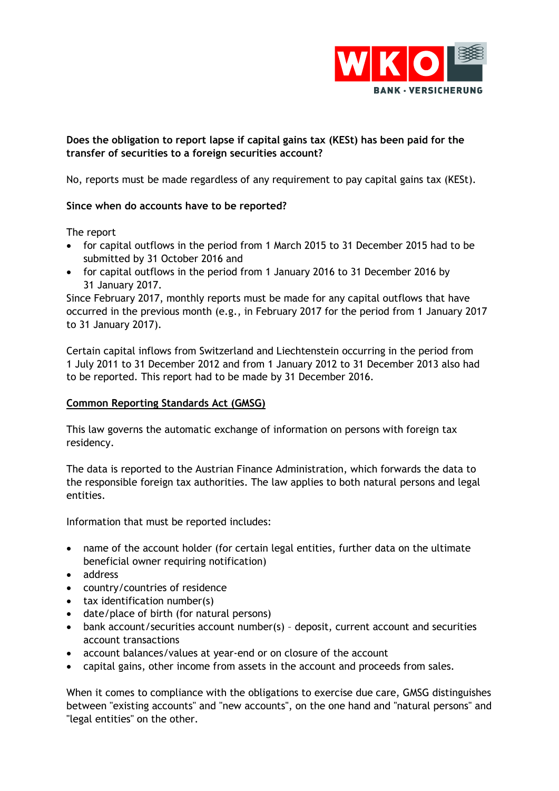

# **Does the obligation to report lapse if capital gains tax (KESt) has been paid for the transfer of securities to a foreign securities account?**

No, reports must be made regardless of any requirement to pay capital gains tax (KESt).

## **Since when do accounts have to be reported?**

The report

- for capital outflows in the period from 1 March 2015 to 31 December 2015 had to be submitted by 31 October 2016 and
- for capital outflows in the period from 1 January 2016 to 31 December 2016 by 31 January 2017.

Since February 2017, monthly reports must be made for any capital outflows that have occurred in the previous month (e.g., in February 2017 for the period from 1 January 2017 to 31 January 2017).

Certain capital inflows from Switzerland and Liechtenstein occurring in the period from 1 July 2011 to 31 December 2012 and from 1 January 2012 to 31 December 2013 also had to be reported. This report had to be made by 31 December 2016.

### **Common Reporting Standards Act (GMSG)**

This law governs the automatic exchange of information on persons with foreign tax residency.

The data is reported to the Austrian Finance Administration, which forwards the data to the responsible foreign tax authorities. The law applies to both natural persons and legal entities.

Information that must be reported includes:

- name of the account holder (for certain legal entities, further data on the ultimate beneficial owner requiring notification)
- address
- country/countries of residence
- tax identification number(s)
- date/place of birth (for natural persons)
- bank account/securities account number(s) deposit, current account and securities account transactions
- account balances/values at year-end or on closure of the account
- capital gains, other income from assets in the account and proceeds from sales.

When it comes to compliance with the obligations to exercise due care, GMSG distinguishes between "existing accounts" and "new accounts", on the one hand and "natural persons" and "legal entities" on the other.